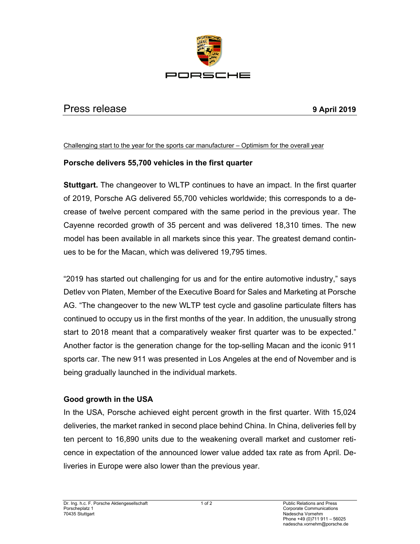

## Press release **9 April 2019**

Challenging start to the year for the sports car manufacturer – Optimism for the overall year

## **Porsche delivers 55,700 vehicles in the first quarter**

**Stuttgart.** The changeover to WLTP continues to have an impact. In the first quarter of 2019, Porsche AG delivered 55,700 vehicles worldwide; this corresponds to a decrease of twelve percent compared with the same period in the previous year. The Cayenne recorded growth of 35 percent and was delivered 18,310 times. The new model has been available in all markets since this year. The greatest demand continues to be for the Macan, which was delivered 19,795 times.

"2019 has started out challenging for us and for the entire automotive industry," says Detlev von Platen, Member of the Executive Board for Sales and Marketing at Porsche AG. "The changeover to the new WLTP test cycle and gasoline particulate filters has continued to occupy us in the first months of the year. In addition, the unusually strong start to 2018 meant that a comparatively weaker first quarter was to be expected." Another factor is the generation change for the top-selling Macan and the iconic 911 sports car. The new 911 was presented in Los Angeles at the end of November and is being gradually launched in the individual markets.

## **Good growth in the USA**

In the USA, Porsche achieved eight percent growth in the first quarter. With 15,024 deliveries, the market ranked in second place behind China. In China, deliveries fell by ten percent to 16,890 units due to the weakening overall market and customer reticence in expectation of the announced lower value added tax rate as from April. Deliveries in Europe were also lower than the previous year.